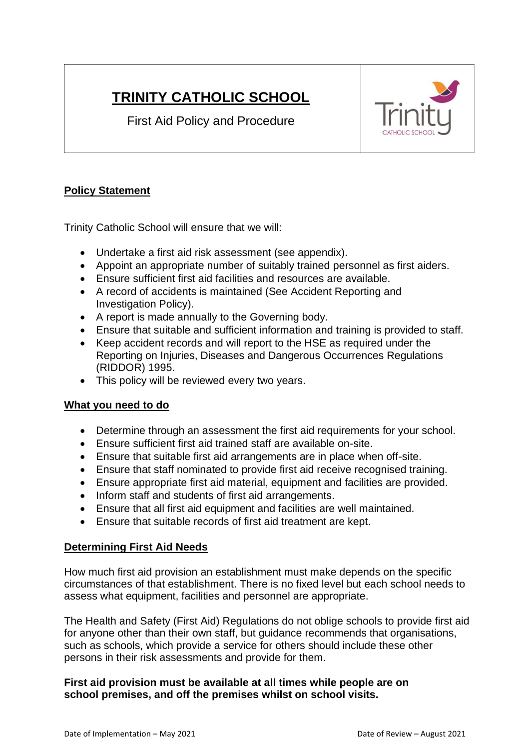# **TRINITY CATHOLIC SCHOOL**

First Aid Policy and Procedure



# **Policy Statement**

Trinity Catholic School will ensure that we will:

- Undertake a first aid risk assessment (see appendix).
- Appoint an appropriate number of suitably trained personnel as first aiders.
- Ensure sufficient first aid facilities and resources are available.
- A record of accidents is maintained (See Accident Reporting and Investigation Policy).
- A report is made annually to the Governing body.
- Ensure that suitable and sufficient information and training is provided to staff.
- Keep accident records and will report to the HSE as required under the Reporting on Injuries, Diseases and Dangerous Occurrences Regulations (RIDDOR) 1995.
- This policy will be reviewed every two years.

# **What you need to do**

- Determine through an assessment the first aid requirements for your school.
- Ensure sufficient first aid trained staff are available on-site.
- Ensure that suitable first aid arrangements are in place when off-site.
- Ensure that staff nominated to provide first aid receive recognised training.
- Ensure appropriate first aid material, equipment and facilities are provided.
- Inform staff and students of first aid arrangements.
- Ensure that all first aid equipment and facilities are well maintained.
- Ensure that suitable records of first aid treatment are kept.

## **Determining First Aid Needs**

How much first aid provision an establishment must make depends on the specific circumstances of that establishment. There is no fixed level but each school needs to assess what equipment, facilities and personnel are appropriate.

The Health and Safety (First Aid) Regulations do not oblige schools to provide first aid for anyone other than their own staff, but guidance recommends that organisations, such as schools, which provide a service for others should include these other persons in their risk assessments and provide for them.

## **First aid provision must be available at all times while people are on school premises, and off the premises whilst on school visits.**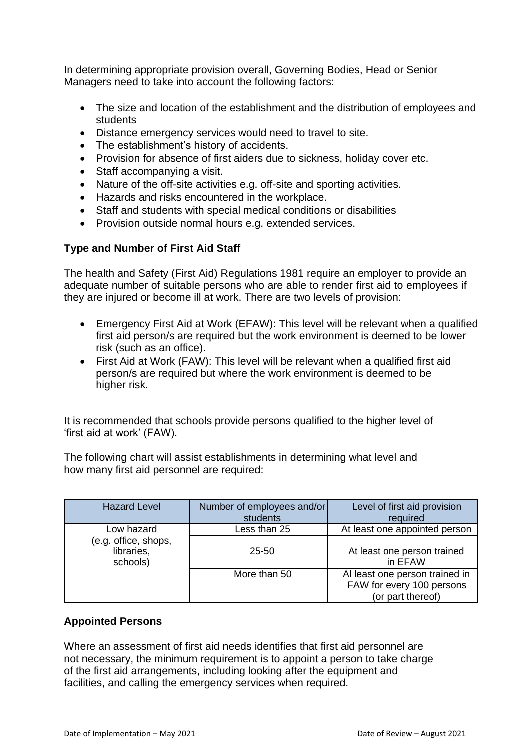In determining appropriate provision overall, Governing Bodies, Head or Senior Managers need to take into account the following factors:

- The size and location of the establishment and the distribution of employees and students
- Distance emergency services would need to travel to site.
- The establishment's history of accidents.
- Provision for absence of first aiders due to sickness, holiday cover etc.
- Staff accompanying a visit.
- Nature of the off-site activities e.g. off-site and sporting activities.
- Hazards and risks encountered in the workplace.
- Staff and students with special medical conditions or disabilities
- Provision outside normal hours e.g. extended services.

## **Type and Number of First Aid Staff**

The health and Safety (First Aid) Regulations 1981 require an employer to provide an adequate number of suitable persons who are able to render first aid to employees if they are injured or become ill at work. There are two levels of provision:

- Emergency First Aid at Work (EFAW): This level will be relevant when a qualified first aid person/s are required but the work environment is deemed to be lower risk (such as an office).
- First Aid at Work (FAW): This level will be relevant when a qualified first aid person/s are required but where the work environment is deemed to be higher risk.

It is recommended that schools provide persons qualified to the higher level of 'first aid at work' (FAW).

The following chart will assist establishments in determining what level and how many first aid personnel are required:

| <b>Hazard Level</b>                            | Number of employees and/or<br>students | Level of first aid provision<br>required                                         |
|------------------------------------------------|----------------------------------------|----------------------------------------------------------------------------------|
| Low hazard                                     | Less than 25                           | At least one appointed person                                                    |
| (e.g. office, shops,<br>libraries,<br>schools) | 25-50                                  | At least one person trained<br>in EFAW                                           |
|                                                | More than 50                           | Al least one person trained in<br>FAW for every 100 persons<br>(or part thereof) |

## **Appointed Persons**

Where an assessment of first aid needs identifies that first aid personnel are not necessary, the minimum requirement is to appoint a person to take charge of the first aid arrangements, including looking after the equipment and facilities, and calling the emergency services when required.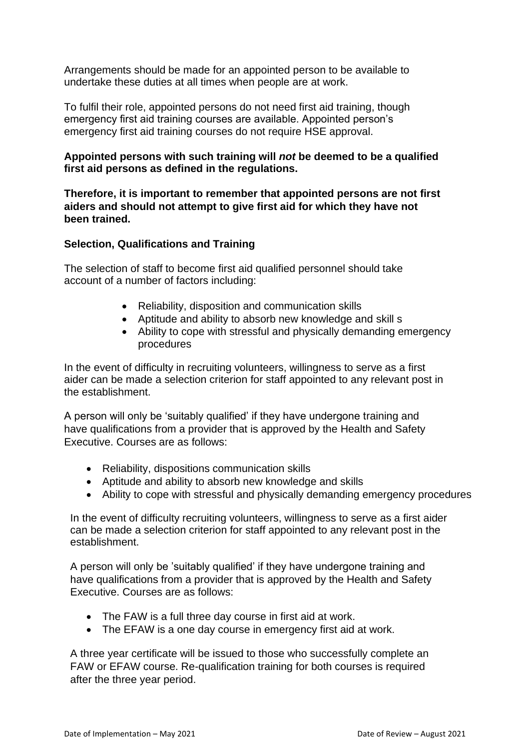Arrangements should be made for an appointed person to be available to undertake these duties at all times when people are at work.

To fulfil their role, appointed persons do not need first aid training, though emergency first aid training courses are available. Appointed person's emergency first aid training courses do not require HSE approval.

## **Appointed persons with such training will** *not* **be deemed to be a qualified first aid persons as defined in the regulations.**

**Therefore, it is important to remember that appointed persons are not first aiders and should not attempt to give first aid for which they have not been trained.**

## **Selection, Qualifications and Training**

The selection of staff to become first aid qualified personnel should take account of a number of factors including:

- Reliability, disposition and communication skills
- Aptitude and ability to absorb new knowledge and skill s
- Ability to cope with stressful and physically demanding emergency procedures

In the event of difficulty in recruiting volunteers, willingness to serve as a first aider can be made a selection criterion for staff appointed to any relevant post in the establishment.

A person will only be 'suitably qualified' if they have undergone training and have qualifications from a provider that is approved by the Health and Safety Executive. Courses are as follows:

- Reliability, dispositions communication skills
- Aptitude and ability to absorb new knowledge and skills
- Ability to cope with stressful and physically demanding emergency procedures

In the event of difficulty recruiting volunteers, willingness to serve as a first aider can be made a selection criterion for staff appointed to any relevant post in the establishment.

A person will only be 'suitably qualified' if they have undergone training and have qualifications from a provider that is approved by the Health and Safety Executive. Courses are as follows:

- The FAW is a full three day course in first aid at work.
- The EFAW is a one day course in emergency first aid at work.

A three year certificate will be issued to those who successfully complete an FAW or EFAW course. Re-qualification training for both courses is required after the three year period.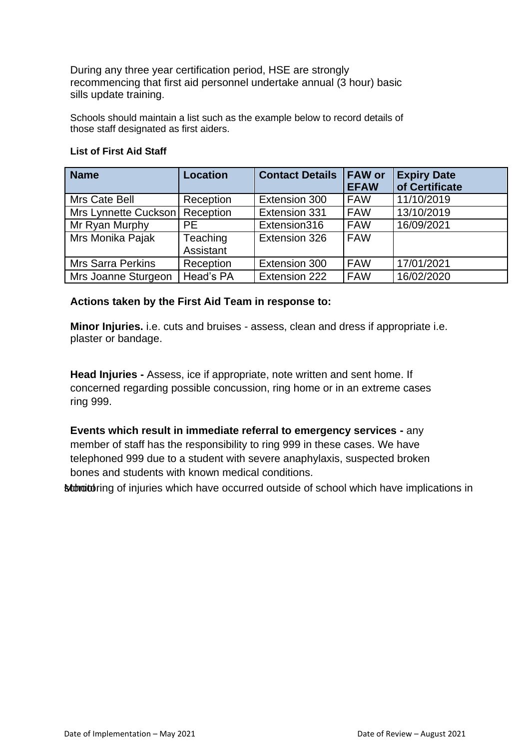During any three year certification period, HSE are strongly recommencing that first aid personnel undertake annual (3 hour) basic sills update training.

Schools should maintain a list such as the example below to record details of those staff designated as first aiders.

| <b>Name</b>                      | <b>Location</b>       | <b>Contact Details</b> | <b>FAW or</b><br><b>EFAW</b> | <b>Expiry Date</b><br>of Certificate |
|----------------------------------|-----------------------|------------------------|------------------------------|--------------------------------------|
| Mrs Cate Bell                    | Reception             | Extension 300          | <b>FAW</b>                   | 11/10/2019                           |
| Mrs Lynnette Cuckson   Reception |                       | Extension 331          | <b>FAW</b>                   | 13/10/2019                           |
| Mr Ryan Murphy                   | <b>PE</b>             | Extension316           | <b>FAW</b>                   | 16/09/2021                           |
| Mrs Monika Pajak                 | Teaching<br>Assistant | Extension 326          | <b>FAW</b>                   |                                      |
| <b>Mrs Sarra Perkins</b>         | Reception             | Extension 300          | <b>FAW</b>                   | 17/01/2021                           |
| Mrs Joanne Sturgeon              | Head's PA             | Extension 222          | <b>FAW</b>                   | 16/02/2020                           |

#### **List of First Aid Staff**

## **Actions taken by the First Aid Team in response to:**

**Minor Injuries.** i.e. cuts and bruises - assess, clean and dress if appropriate i.e. plaster or bandage.

**Head Injuries -** Assess, ice if appropriate, note written and sent home. If concerned regarding possible concussion, ring home or in an extreme cases ring 999.

**Events which result in immediate referral to emergency services -** any member of staff has the responsibility to ring 999 in these cases. We have telephoned 999 due to a student with severe anaphylaxis, suspected broken bones and students with known medical conditions.

**Monitoring of injuries which have occurred outside of school which have implications in**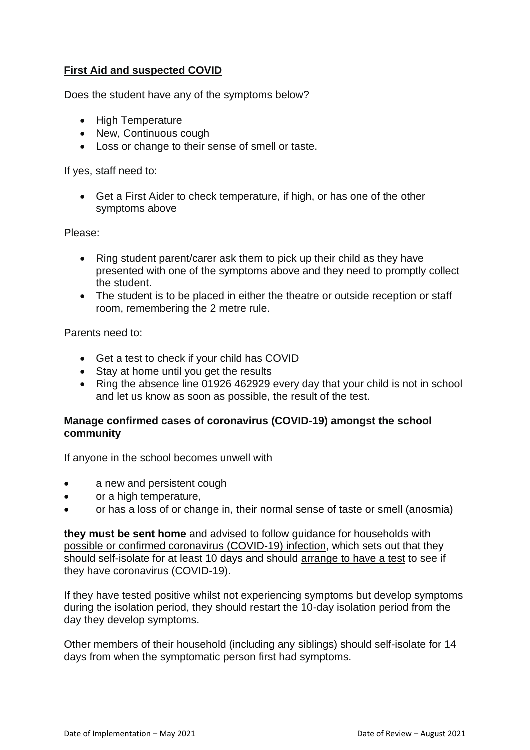# **First Aid and suspected COVID**

Does the student have any of the symptoms below?

- High Temperature
- New, Continuous cough
- Loss or change to their sense of smell or taste.

If yes, staff need to:

• Get a First Aider to check temperature, if high, or has one of the other symptoms above

Please:

- Ring student parent/carer ask them to pick up their child as they have presented with one of the symptoms above and they need to promptly collect the student.
- The student is to be placed in either the theatre or outside reception or staff room, remembering the 2 metre rule.

Parents need to:

- Get a test to check if your child has COVID
- Stay at home until you get the results
- Ring the absence line 01926 462929 every day that your child is not in school and let us know as soon as possible, the result of the test.

## **Manage confirmed cases of coronavirus (COVID-19) amongst the school community**

If anyone in the school becomes unwell with

- a new and persistent cough
- or a high temperature,
- or has a loss of or change in, their normal sense of taste or smell (anosmia)

**they must be sent home** and advised to follow guidance for [households](https://www.gov.uk/government/publications/covid-19-stay-at-home-guidance) with possible or confirmed coronavirus [\(COVID-19\)](https://www.gov.uk/government/publications/covid-19-stay-at-home-guidance) infection, which sets out that they should self-isolate for at least 10 days and should [arrange](https://www.gov.uk/guidance/coronavirus-covid-19-getting-tested) to have a test to see if they have coronavirus (COVID-19).

If they have tested positive whilst not experiencing symptoms but develop symptoms during the isolation period, they should restart the 10-day isolation period from the day they develop symptoms.

Other members of their household (including any siblings) should self-isolate for 14 days from when the symptomatic person first had symptoms.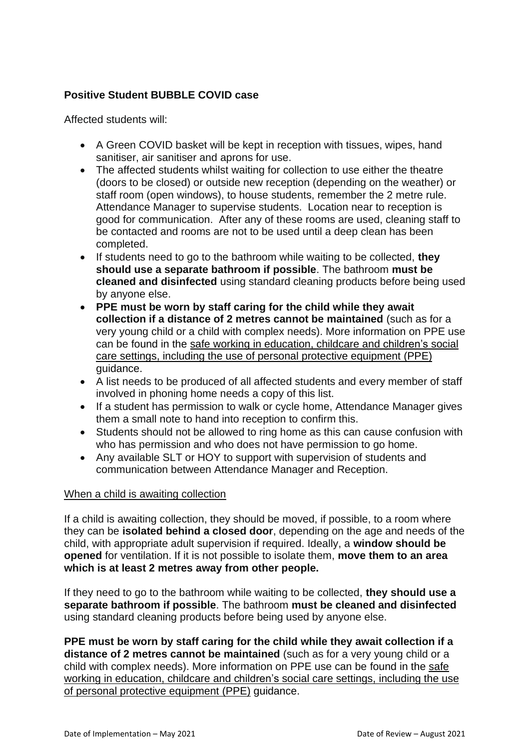## **Positive Student BUBBLE COVID case**

Affected students will:

- A Green COVID basket will be kept in reception with tissues, wipes, hand sanitiser, air sanitiser and aprons for use.
- The affected students whilst waiting for collection to use either the theatre (doors to be closed) or outside new reception (depending on the weather) or staff room (open windows), to house students, remember the 2 metre rule. Attendance Manager to supervise students. Location near to reception is good for communication. After any of these rooms are used, cleaning staff to be contacted and rooms are not to be used until a deep clean has been completed.
- If students need to go to the bathroom while waiting to be collected, **they should use a separate bathroom if possible**. The bathroom **must be cleaned and disinfected** using standard cleaning products before being used by anyone else.
- **PPE must be worn by staff caring for the child while they await collection if a distance of 2 metres cannot be maintained** (such as for a very young child or a child with complex needs). More information on PPE use can be found in the safe working in [education,](https://www.gov.uk/government/publications/safe-working-in-education-childcare-and-childrens-social-care/safe-working-in-education-childcare-and-childrens-social-care-settings-including-the-use-of-personal-protective-equipment-ppe) childcare and children's social care settings, including the use of personal protective [equipment](https://www.gov.uk/government/publications/safe-working-in-education-childcare-and-childrens-social-care/safe-working-in-education-childcare-and-childrens-social-care-settings-including-the-use-of-personal-protective-equipment-ppe) (PPE) guidance.
- A list needs to be produced of all affected students and every member of staff involved in phoning home needs a copy of this list.
- If a student has permission to walk or cycle home, Attendance Manager gives them a small note to hand into reception to confirm this.
- Students should not be allowed to ring home as this can cause confusion with who has permission and who does not have permission to go home.
- Any available SLT or HOY to support with supervision of students and communication between Attendance Manager and Reception.

## When a child is awaiting collection

If a child is awaiting collection, they should be moved, if possible, to a room where they can be **isolated behind a closed door**, depending on the age and needs of the child, with appropriate adult supervision if required. Ideally, a **window should be opened** for ventilation. If it is not possible to isolate them, **move them to an area which is at least 2 metres away from other people.**

If they need to go to the bathroom while waiting to be collected, **they should use a separate bathroom if possible**. The bathroom **must be cleaned and disinfected** using standard cleaning products before being used by anyone else.

**PPE must be worn by staff caring for the child while they await collection if a distance of 2 metres cannot be maintained** (such as for a very young child or a child with complex needs). More information on PPE use can be found in the [safe](https://www.gov.uk/government/publications/safe-working-in-education-childcare-and-childrens-social-care/safe-working-in-education-childcare-and-childrens-social-care-settings-including-the-use-of-personal-protective-equipment-ppe) working in [education,](https://www.gov.uk/government/publications/safe-working-in-education-childcare-and-childrens-social-care/safe-working-in-education-childcare-and-childrens-social-care-settings-including-the-use-of-personal-protective-equipment-ppe) childcare and children's social care settings, including the use of personal protective [equipment](https://www.gov.uk/government/publications/safe-working-in-education-childcare-and-childrens-social-care/safe-working-in-education-childcare-and-childrens-social-care-settings-including-the-use-of-personal-protective-equipment-ppe) (PPE) guidance.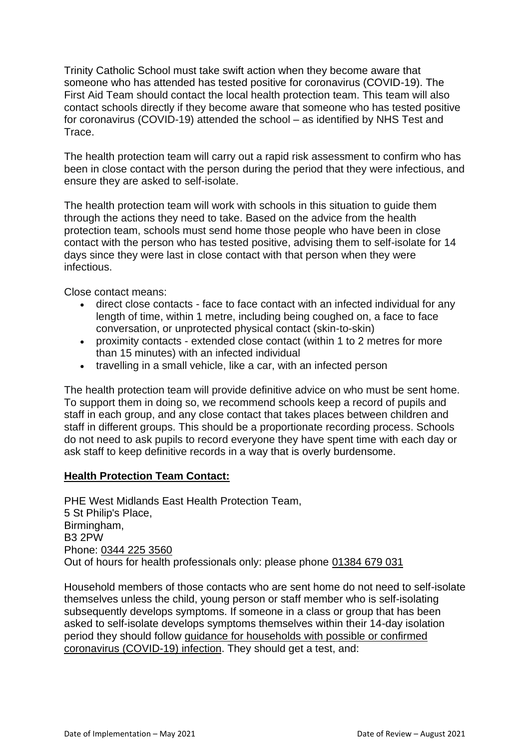Trinity Catholic School must take swift action when they become aware that someone who has attended has tested positive for coronavirus (COVID-19). The First Aid Team should contact the local health protection team. This team will also contact schools directly if they become aware that someone who has tested positive for coronavirus (COVID-19) attended the school – as identified by NHS Test and Trace.

The health protection team will carry out a rapid risk assessment to confirm who has been in close contact with the person during the period that they were infectious, and ensure they are asked to self-isolate.

The health protection team will work with schools in this situation to guide them through the actions they need to take. Based on the advice from the health protection team, schools must send home those people who have been in close contact with the person who has tested positive, advising them to self-isolate for 14 days since they were last in close contact with that person when they were infectious.

Close contact means:

- direct close contacts face to face contact with an infected individual for any length of time, within 1 metre, including being coughed on, a face to face conversation, or unprotected physical contact (skin-to-skin)
- proximity contacts extended close contact (within 1 to 2 metres for more than 15 minutes) with an infected individual
- travelling in a small vehicle, like a car, with an infected person

The health protection team will provide definitive advice on who must be sent home. To support them in doing so, we recommend schools keep a record of pupils and staff in each group, and any close contact that takes places between children and staff in different groups. This should be a proportionate recording process. Schools do not need to ask pupils to record everyone they have spent time with each day or ask staff to keep definitive records in a way that is overly burdensome.

## **Health Protection Team Contact:**

PHE West Midlands East Health Protection Team, 5 St Philip's Place, Birmingham, B3 2PW Phone: 0344 225 3560 Out of hours for health professionals only: please phone [01384](tel:01384%20679%20031) 679 031

Household members of those contacts who are sent home do not need to self-isolate themselves unless the child, young person or staff member who is self-isolating subsequently develops symptoms. If someone in a class or group that has been asked to self-isolate develops symptoms themselves within their 14-day isolation period they should follow guidance for [households](https://www.gov.uk/government/publications/covid-19-stay-at-home-guidance) with possible or confirmed coronavirus [\(COVID-19\)](https://www.gov.uk/government/publications/covid-19-stay-at-home-guidance) infection. They should get a test, and: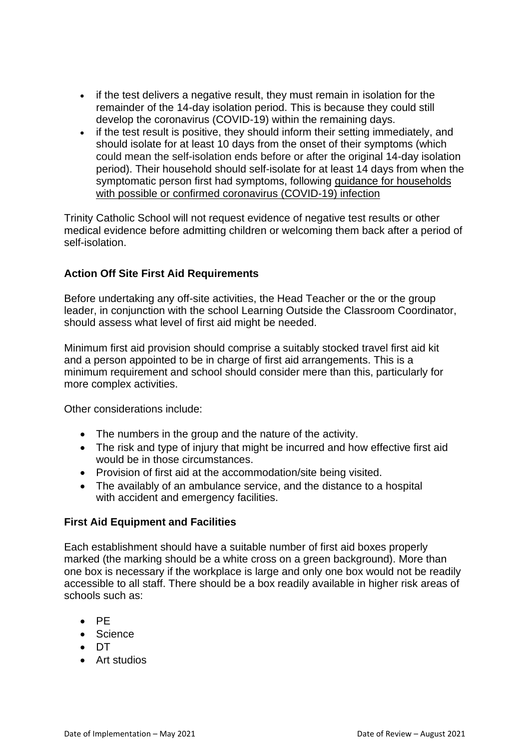- if the test delivers a negative result, they must remain in isolation for the remainder of the 14-day isolation period. This is because they could still develop the coronavirus (COVID-19) within the remaining days.
- if the test result is positive, they should inform their setting immediately, and should isolate for at least 10 days from the onset of their symptoms (which could mean the self-isolation ends before or after the original 14-day isolation period). Their household should self-isolate for at least 14 days from when the symptomatic person first had symptoms, following guidance for [households](https://www.gov.uk/government/publications/covid-19-stay-at-home-guidance) with possible or confirmed coronavirus [\(COVID-19\)](https://www.gov.uk/government/publications/covid-19-stay-at-home-guidance) infection

Trinity Catholic School will not request evidence of negative test results or other medical evidence before admitting children or welcoming them back after a period of self-isolation.

## **Action Off Site First Aid Requirements**

Before undertaking any off-site activities, the Head Teacher or the or the group leader, in conjunction with the school Learning Outside the Classroom Coordinator, should assess what level of first aid might be needed.

Minimum first aid provision should comprise a suitably stocked travel first aid kit and a person appointed to be in charge of first aid arrangements. This is a minimum requirement and school should consider mere than this, particularly for more complex activities.

Other considerations include:

- The numbers in the group and the nature of the activity.
- The risk and type of injury that might be incurred and how effective first aid would be in those circumstances.
- Provision of first aid at the accommodation/site being visited.
- The availably of an ambulance service, and the distance to a hospital with accident and emergency facilities.

## **First Aid Equipment and Facilities**

Each establishment should have a suitable number of first aid boxes properly marked (the marking should be a white cross on a green background). More than one box is necessary if the workplace is large and only one box would not be readily accessible to all staff. There should be a box readily available in higher risk areas of schools such as:

- PE
- Science
- DT
- Art studios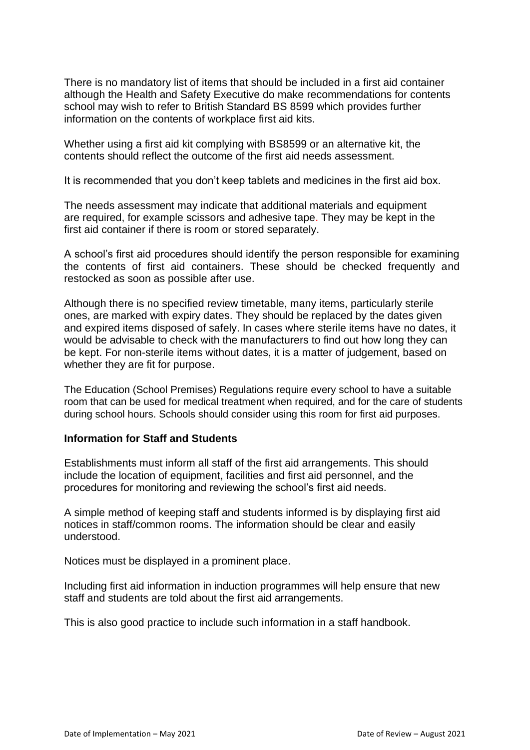There is no mandatory list of items that should be included in a first aid container although the Health and Safety Executive do make recommendations for contents school may wish to refer to British Standard BS 8599 which provides further information on the contents of workplace first aid kits.

Whether using a first aid kit complying with BS8599 or an alternative kit, the contents should reflect the outcome of the first aid needs assessment.

It is recommended that you don't keep tablets and medicines in the first aid box.

The needs assessment may indicate that additional materials and equipment are required, for example scissors and adhesive tape. They may be kept in the first aid container if there is room or stored separately.

A school's first aid procedures should identify the person responsible for examining the contents of first aid containers. These should be checked frequently and restocked as soon as possible after use.

Although there is no specified review timetable, many items, particularly sterile ones, are marked with expiry dates. They should be replaced by the dates given and expired items disposed of safely. In cases where sterile items have no dates, it would be advisable to check with the manufacturers to find out how long they can be kept. For non-sterile items without dates, it is a matter of judgement, based on whether they are fit for purpose.

The Education (School Premises) Regulations require every school to have a suitable room that can be used for medical treatment when required, and for the care of students during school hours. Schools should consider using this room for first aid purposes.

## **Information for Staff and Students**

Establishments must inform all staff of the first aid arrangements. This should include the location of equipment, facilities and first aid personnel, and the procedures for monitoring and reviewing the school's first aid needs.

A simple method of keeping staff and students informed is by displaying first aid notices in staff/common rooms. The information should be clear and easily understood.

Notices must be displayed in a prominent place.

Including first aid information in induction programmes will help ensure that new staff and students are told about the first aid arrangements.

This is also good practice to include such information in a staff handbook.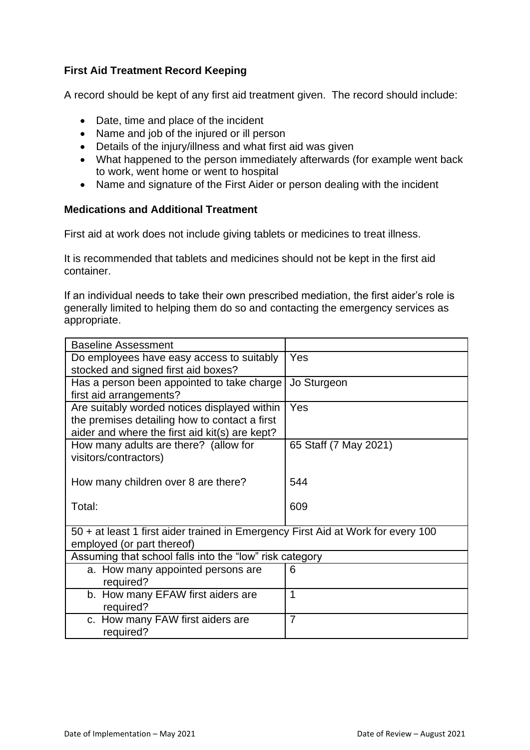# **First Aid Treatment Record Keeping**

A record should be kept of any first aid treatment given. The record should include:

- Date, time and place of the incident
- Name and job of the injured or ill person
- Details of the injury/illness and what first aid was given
- What happened to the person immediately afterwards (for example went back to work, went home or went to hospital
- Name and signature of the First Aider or person dealing with the incident

## **Medications and Additional Treatment**

First aid at work does not include giving tablets or medicines to treat illness.

It is recommended that tablets and medicines should not be kept in the first aid container.

If an individual needs to take their own prescribed mediation, the first aider's role is generally limited to helping them do so and contacting the emergency services as appropriate.

| <b>Baseline Assessment</b>                                                       |                       |  |
|----------------------------------------------------------------------------------|-----------------------|--|
| Do employees have easy access to suitably                                        | Yes                   |  |
| stocked and signed first aid boxes?                                              |                       |  |
| Has a person been appointed to take charge                                       | Jo Sturgeon           |  |
| first aid arrangements?                                                          |                       |  |
| Are suitably worded notices displayed within                                     | Yes                   |  |
| the premises detailing how to contact a first                                    |                       |  |
| aider and where the first aid kit(s) are kept?                                   |                       |  |
| How many adults are there? (allow for                                            | 65 Staff (7 May 2021) |  |
| visitors/contractors)                                                            |                       |  |
|                                                                                  |                       |  |
| How many children over 8 are there?                                              | 544                   |  |
|                                                                                  |                       |  |
| Total:                                                                           | 609                   |  |
|                                                                                  |                       |  |
| 50 + at least 1 first aider trained in Emergency First Aid at Work for every 100 |                       |  |
| employed (or part thereof)                                                       |                       |  |
| Assuming that school falls into the "low" risk category                          |                       |  |
| a. How many appointed persons are                                                | 6                     |  |
| required?                                                                        |                       |  |
| b. How many EFAW first aiders are                                                | 1                     |  |
| required?                                                                        |                       |  |
| c. How many FAW first aiders are                                                 | $\overline{7}$        |  |
| required?                                                                        |                       |  |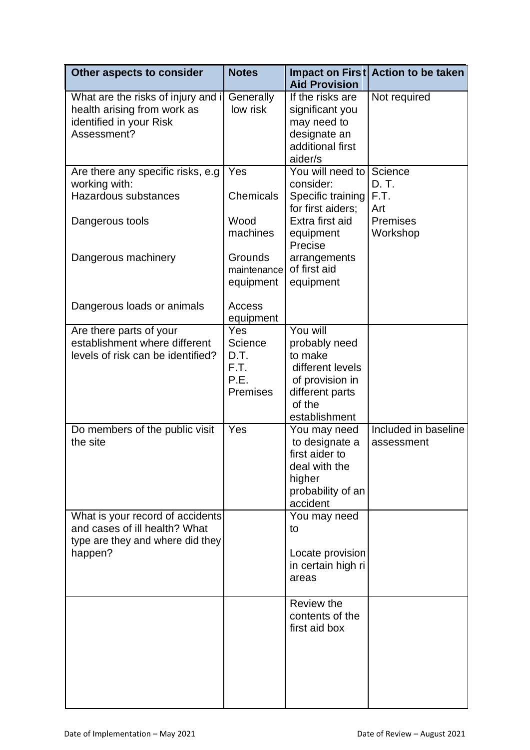| Other aspects to consider                                                                                            | <b>Notes</b>                                                                 | <b>Aid Provision</b>                                                                                                                               | Impact on First Action to be taken                      |
|----------------------------------------------------------------------------------------------------------------------|------------------------------------------------------------------------------|----------------------------------------------------------------------------------------------------------------------------------------------------|---------------------------------------------------------|
| What are the risks of injury and i<br>health arising from work as<br>identified in your Risk<br>Assessment?          | Generally<br>low risk                                                        | If the risks are<br>significant you<br>may need to<br>designate an<br>additional first<br>aider/s                                                  | Not required                                            |
| Are there any specific risks, e.g<br>working with:<br>Hazardous substances<br>Dangerous tools<br>Dangerous machinery | Yes<br><b>Chemicals</b><br>Wood<br>machines<br><b>Grounds</b><br>maintenance | You will need to<br>consider:<br>Specific training<br>for first aiders;<br>Extra first aid<br>equipment<br>Precise<br>arrangements<br>of first aid | Science<br>D. T.<br>F.T.<br>Art<br>Premises<br>Workshop |
| Dangerous loads or animals                                                                                           | equipment<br>Access<br>equipment                                             | equipment                                                                                                                                          |                                                         |
| Are there parts of your<br>establishment where different<br>levels of risk can be identified?                        | Yes<br>Science<br>D.T.<br>F.T.<br>P.E.<br><b>Premises</b>                    | You will<br>probably need<br>to make<br>different levels<br>of provision in<br>different parts<br>of the<br>establishment                          |                                                         |
| Do members of the public visit<br>the site                                                                           | Yes                                                                          | You may need<br>to designate a<br>first aider to<br>deal with the<br>higher<br>probability of an<br>accident                                       | Included in baseline<br>assessment                      |
| What is your record of accidents<br>and cases of ill health? What<br>type are they and where did they<br>happen?     |                                                                              | You may need<br>to<br>Locate provision<br>in certain high ri<br>areas                                                                              |                                                         |
|                                                                                                                      |                                                                              | Review the<br>contents of the<br>first aid box                                                                                                     |                                                         |